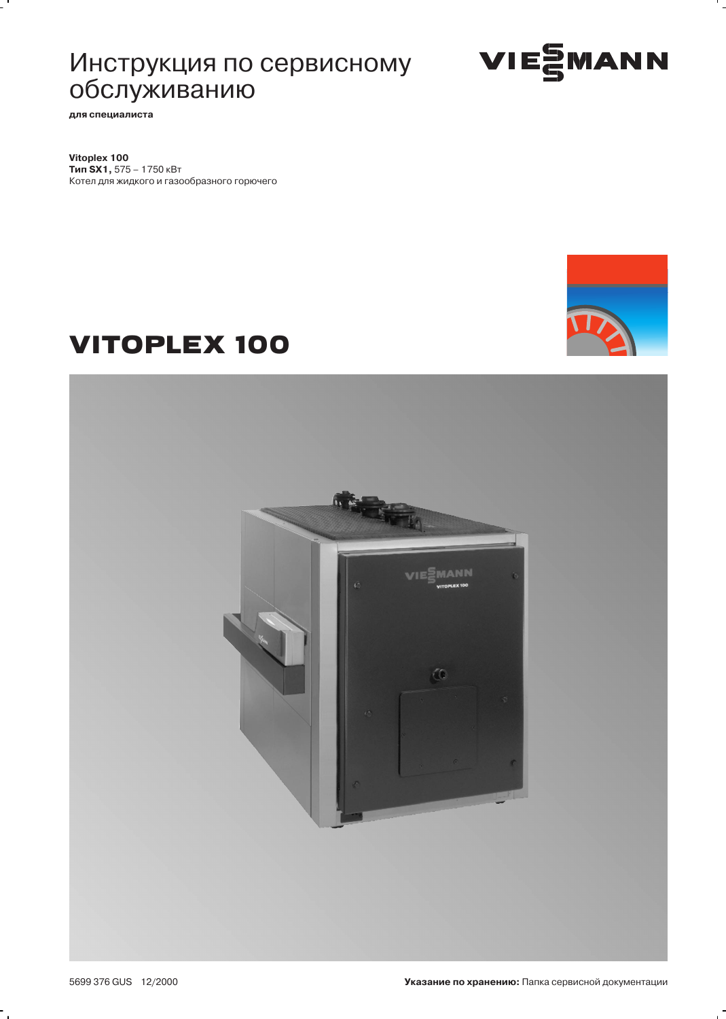# Инструкция по сервисному обслуживанию



для специалиста

Vitoplex 100 Тип SX1, 575 - 1750 кВт Котел для жидкого и газообразного горючего



# **VITOPLEX 100**



۰.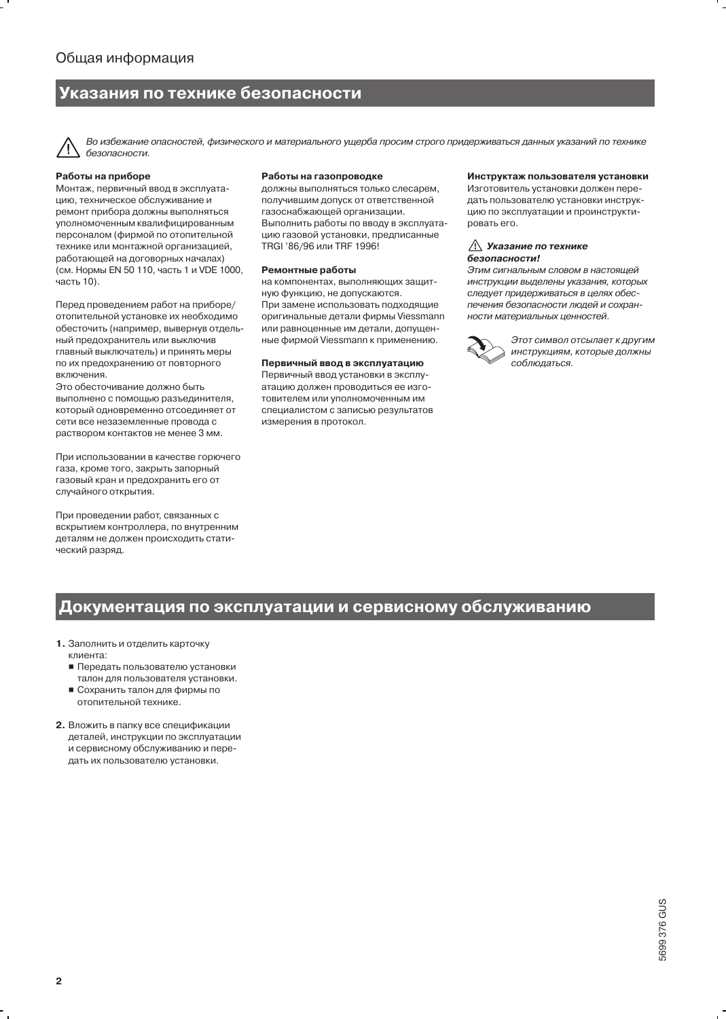### Указания по технике безопасности

Во избежание опасностей, физического и материального ущерба просим строго придерживаться данных указаний по технике безопасности.

### Работы на приборе

Монтаж, первичный ввод в эксплуатацию, техническое обслуживание и ремонт прибора должны выполняться уполномоченным квалифицированным персоналом (фирмой по отопительной технике или монтажной организацией, работающей на договорных началах) (см. Нормы EN 50 110, часть 1 и VDE 1000, часть 10).

Перед проведением работ на приборе/ отопительной установке их необходимо обесточить (например, вывернув отдельный предохранитель или выключив главный выключатель) и принять меры по их предохранению от повторного ВКЛЮЧАНИЯ

Это обесточивание должно быть выполнено с помощью разъединителя. который одновременно отсоединяет от сети все незаземленные провода с раствором контактов не менее 3 мм.

При использовании в качестве горючего газа, кроме того, закрыть запорный газовый кран и предохранить его от случайного открытия.

При проведении работ, связанных с вскрытием контроллера, по внутренним деталям не должен происходить статический разряд.

### Работы на газопроводке

должны выполняться только слесарем, получившим допуск от ответственной газоснабжающей организации. Выполнить работы по вводу в эксплуатацию газовой установки, предписанные TRGI '86/96 или TRF 1996!

#### Ремонтные работы

на компонентах, выполняющих защитную функцию, не допускаются. При замене использовать подходящие оригинальные детали фирмы Viessmann или равноценные им детали, допущенные фирмой Viessmann к применению.

### Первичный ввод в эксплуатацию

Первичный ввод установки в эксплуатацию должен проводиться ее изготовителем или уполномоченным им специалистом с записью результатов измерения в протокол.

#### Инструктаж пользователя установки

Изготовитель установки должен передать пользователю установки инструкцию по эксплуатации и проинструктировать его.

#### **∆ Указание по технике** безопасности!

Этим сигнальным словом в настоящей инструкции выделены указания, которых следует придерживаться в целях обеспечения безопасности людей и сохранности материальных ценностей.



Этот символ отсылает к другим инструкциям, которые должны соблюдаться.

# Документация по эксплуатации и сервисному обслуживанию

- 1. Заполнить и отделить карточку
	- клиента:
	- Передать пользователю установки талон для пользователя установки.
	- Сохранить талон для фирмы по отопительной технике.
- 2. Вложить в папку все спецификации деталей, инструкции по эксплуатации и сервисному обслуживанию и передать их пользователю установки.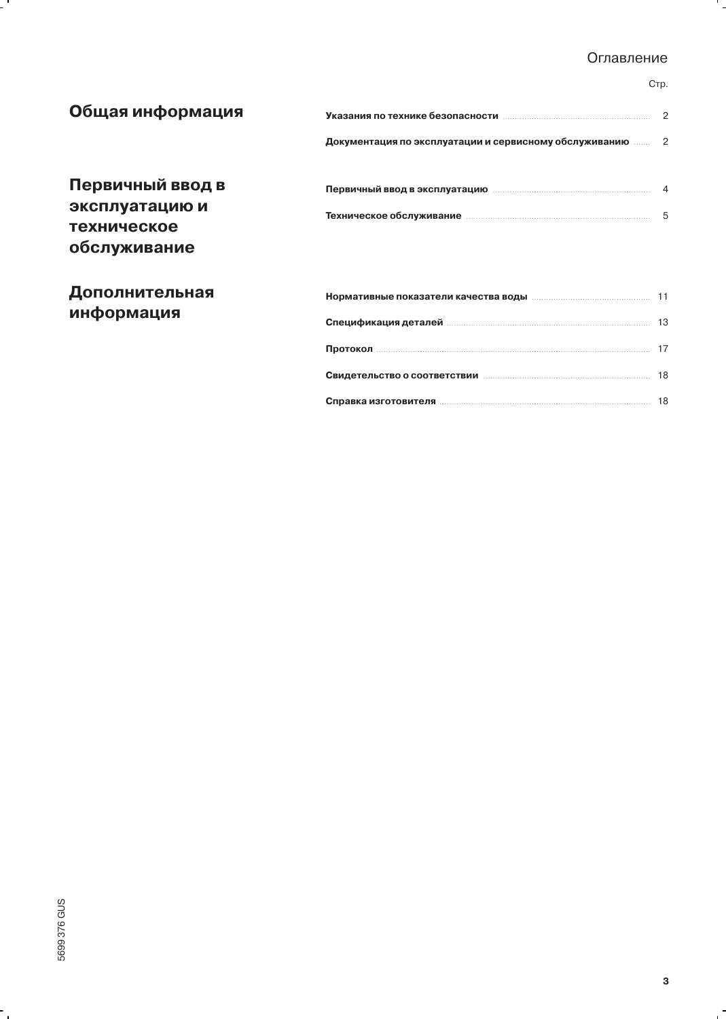### Оглавление

) <sup>8</sup> <sup>8</sup> <sup>8</sup> <sup>8</sup> <sup>8</sup> <sup>8</sup> <sup>8</sup> <sup>8</sup> <sup>8</sup> <sup>8</sup> <sup>8</sup> <sup>8</sup> <sup>8</sup> <sup>8</sup> <sup>8</sup> <sup>8</sup> <sup>8</sup> <sup>8</sup> <sup>8</sup> <sup>8</sup> <sup>8</sup> <sup>8</sup> <sup>8</sup> <sup>8</sup> <sup>8</sup> <sup>8</sup> <sup>8</sup> <sup>8</sup> <sup>8</sup> <sup>8</sup> <sup>8</sup> <sup>8</sup> <sup>8</sup> <sup>8</sup> <sup>8</sup> <sup>8</sup> <sup>8</sup> <sup>8</sup> <sup>8</sup> <sup>8</sup> <sup>8</sup> <sup>8</sup> <sup>8</sup> <sup>8</sup> <sup>8</sup> <sup>8</sup> <sup>8</sup> <sup>8</sup> <sup>8</sup> <sup>8</sup> <sup>8</sup> <sup>8</sup> <sup>8</sup> <sup>8</sup> <sup>8</sup> <sup>8</sup> <sup>8</sup> <sup>8</sup> <sup>8</sup> <sup>8</sup> <sup>8</sup> <sup>8</sup> <sup>8</sup> <sup>8</sup> <sup>8</sup> <sup>8</sup> <sup>8</sup> <sup>8</sup> <sup>8</sup> <sup>8</sup> <sup>8</sup> <sup>8</sup> <sup>8</sup> <sup>8</sup> <sup>8</sup> <sup>8</sup> <sup>8</sup> <sup>8</sup> <sup>8</sup> <sup>8</sup> <sup>8</sup> <sup>8</sup> <sup>8</sup> <sup>8</sup> <sup>8</sup> <sup>8</sup> <sup>8</sup> E

### Cтp.

۰.

| Общая информация                                                         |                                                                                                                |  |  |
|--------------------------------------------------------------------------|----------------------------------------------------------------------------------------------------------------|--|--|
|                                                                          | Документация по эксплуатации и сервисному обслуживанию  2                                                      |  |  |
| Первичный ввод в<br>эксплуатацию и<br><b>ТЕХНИЧЕСКОЕ</b><br>обслуживание | Первичный ввод в эксплуатацию попатание 4                                                                      |  |  |
| Дополнительная                                                           |                                                                                                                |  |  |
| информация                                                               |                                                                                                                |  |  |
|                                                                          | Протокол последний протокол по таким на техническим протокол по техническим протокол по техническим протокол п |  |  |
|                                                                          |                                                                                                                |  |  |

Справка изгото

 $\ddot{\phantom{0}}$ 

 $\mathbf{r}$ 

**-**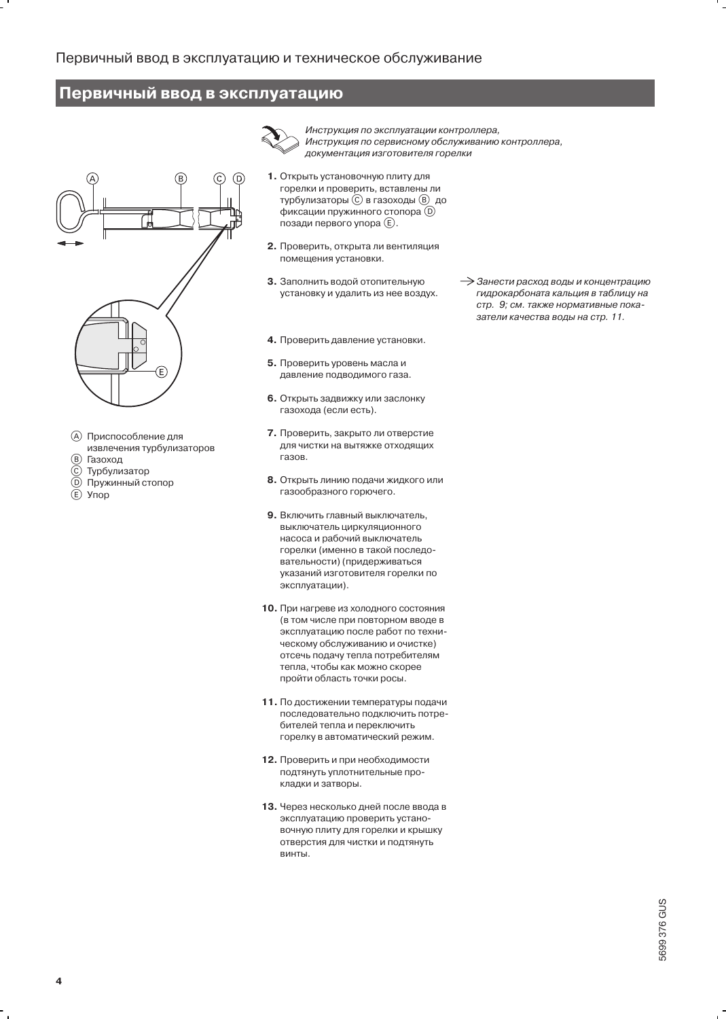### Первичный ввод в эксплуатацию



- **(А) Приспособление для**
- извлечения турбулизаторов  $^{\circledR}$ Газоход
- $^{\copyright}$ Турбулизатор
- Пружинный стопор
- $\bigcircled{0}$ Упор

Инструкция по эксплуатации контроллера. Инструкция по сервисному обслуживанию контроллера, документация изготовителя горелки

- 1. Открыть установочную плиту для горелки и проверить, вставлены ли турбулизаторы © в газоходы ® до фиксации пружинного стопора  $\overline{0}$ позади первого упора (E).
- 2. Проверить, открыта ли вентиляция помещения установки.
- 3. Заполнить водой отопительную установку и удалить из нее воздух.
- 4. Проверить давление установки.
- 5. Проверить уровень масла и давление подводимого газа.
- 6. Открыть задвижку или заслонку газохода (если есть).
- 7. Проверить, закрыто ли отверстие для чистки на вытяжке отходящих газов.
- 8. Открыть линию подачи жидкого или газообразного горючего.
- 9. Включить главный выключатель, выключатель циркуляционного насоса и рабочий выключатель горелки (именно в такой последовательности) (придерживаться указаний изготовителя горелки по эксплуатации).
- 10. При нагреве из холодного состояния (в том числе при повторном вводе в эксплуатацию после работ по техническому обслуживанию и очистке) отсечь подачу тепла потребителям тепла, чтобы как можно скорее пройти область точки росы.
- 11. По достижении температуры подачи последовательно подключить потребителей тепла и переключить горелку в автоматический режим.
- 12. Проверить и при необходимости подтянуть уплотнительные прокладки и затворы.
- 13. Через несколько дней после ввода в эксплуатацию проверить установочную плиту для горелки и крышку отверстия для чистки и подтянуть винты.

> Занести расход воды и концентрацию гидрокарбоната кальция в таблицу на стр. 9; см. также нормативные показатели качества воды на стр. 11.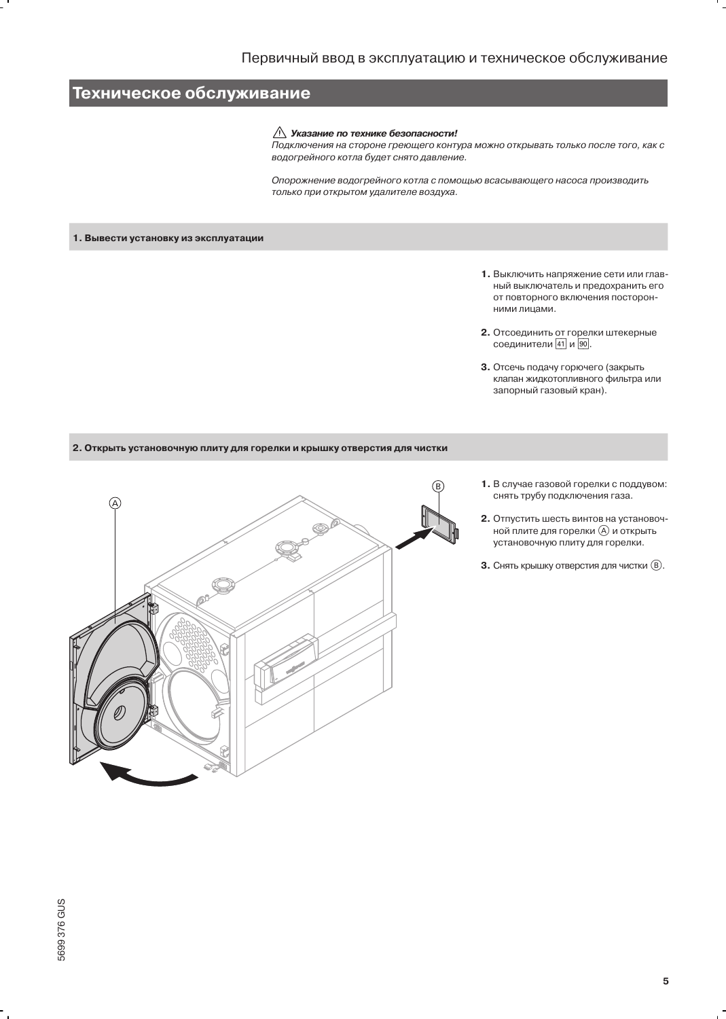# Техническое обслуживание

### $\triangle$  Указание по технике безопасности!

Подключения на стороне греющего контура можно открывать только после того, как с водогрейного котла будет снято давление.

Опорожнение водогрейного котла с помощью всасывающего насоса производить только при открытом удалителе воздуха.

### 1. Вывести установку из эксплуатации

- 1. Выключить напряжение сети или главный выключатель и предохранить его от повторного включения посторонними лицами.
- 2. Отсоединить от горелки штекерные соединители 41 и 90.
- 3. Отсечь подачу горючего (закрыть клапан жидкотопливного фильтра или запорный газовый кран).

2. Открыть установочную плиту для горелки и крышку отверстия для чистки



- 1. В случае газовой горелки с поддувом: снять трубу подключения газа.
- 2. Отпустить шесть винтов на установочной плите для горелки (A) и открыть установочную плиту для горелки.
- 3. Снять крышку отверстия для чистки ®.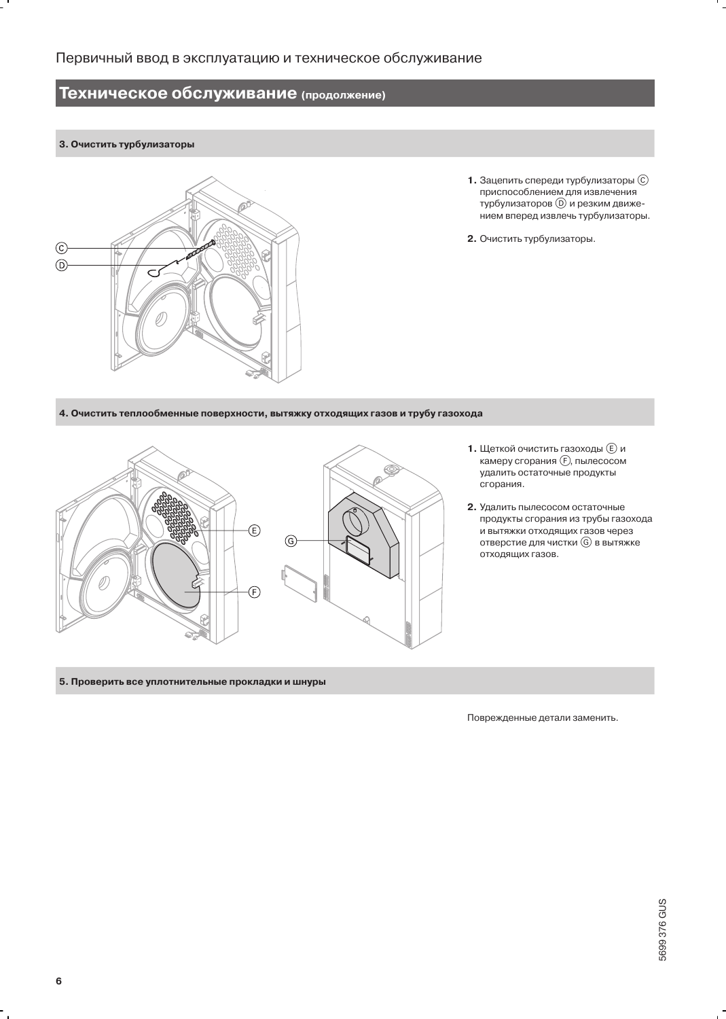### 3. Очистить турбулизаторы



- 1. Зацепить спереди турбулизаторы  $\copyright$ приспособлением для извлечения турбулизаторов (D) и резким движением вперед извлечь турбулизаторы.
- 2. Очистить турбулизаторы.

4. Очистить теплообменные поверхности, вытяжку отходящих газов и трубу газохода



- 1. Щеткой очистить газоходы  $\textcircled{\scriptsize{E}}$  и камеру сгорания (F), пылесосом удалить остаточные продукты сгорания.
- 2. Удалить пылесосом остаточные продукты сгорания из трубы газохода и вытяжки отходящих газов через отверстие для чистки **G** в вытяжке отходящих газов.

5. Проверить все уплотнительные прокладки и шнуры

Поврежденные детали заменить.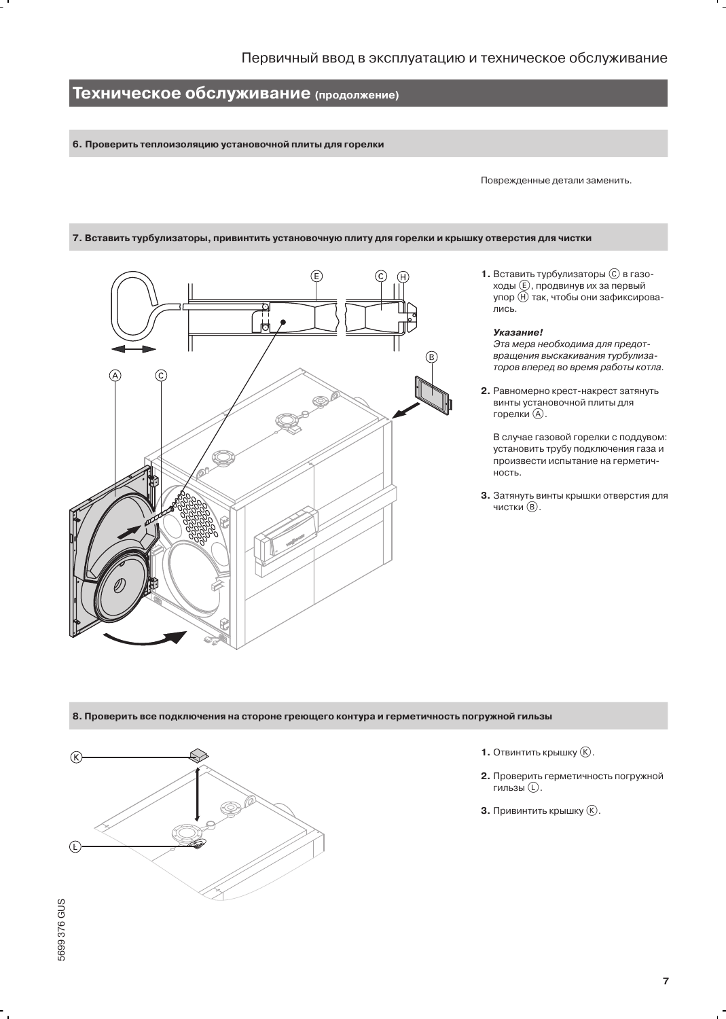6. Проверить теплоизоляцию установочной плиты для горелки

Поврежденные детали заменить.

### 7. Вставить турбулизаторы, привинтить установочную плиту для горелки и крышку отверстия для чистки



1. Вставить турбулизаторы  $\copyright$  в газоходы **(E)**, продвинув их за первый упор (Н) так, чтобы они зафиксировались.

#### Указание!

Эта мера необходима для предотвращения выскакивания турбулизаторов вперед во время работы котла.

2. Равномерно крест-накрест затянуть винты установочной плиты для горелки (A).

В случае газовой горелки с поддувом: установить трубу подключения газа и произвести испытание на герметич-HOCT<sub>b</sub>.

3. Затянуть винты крышки отверстия для чистки (В).

### 8. Проверить все подключения на стороне греющего контура и герметичность погружной гильзы



- 1. Отвинтить крышку  $(\vec{k})$ .
- 2. Проверить герметичность погружной гильзы (D.
- **3.** Привинтить крышку (К).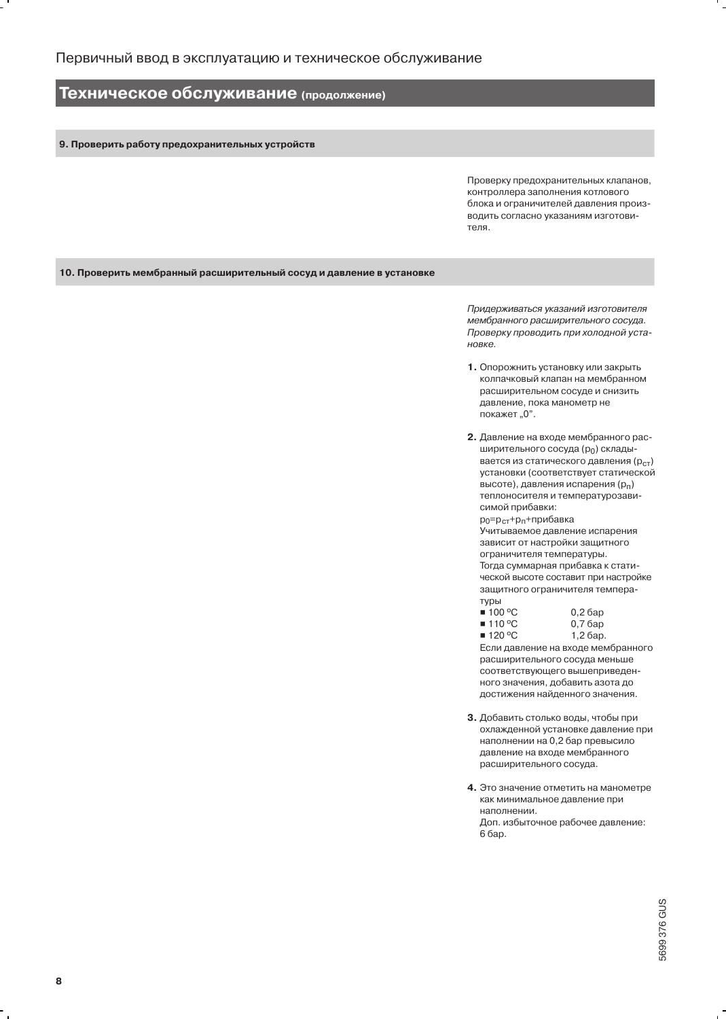9. Проверить работу предохранительных устройств

Проверку предохранительных клапанов, контроллера заполнения котлового блока и ограничителей давления производить согласно указаниям изготовителя.

10. Проверить мембранный расширительный сосуд и давление в установке

Придерживаться указаний изготовителя мембранного расширительного сосуда. Проверку проводить при холодной установке.

- 1. Опорожнить установку или закрыть колпачковый клапан на мембранном расширительном сосуде и снизить давление, пока манометр не покажет "0".
- 2. Давление на входе мембранного расширительного сосуда (ро) складывается из статического давления (р<sub>ст</sub>) установки (соответствует статической высоте), давления испарения (pn) теплоносителя и температурозависимой прибавки:

р<sub>0</sub>=р<sub>ст</sub>+р<sub>п</sub>+прибавка Учитываемое давление испарения зависит от настройки защитного ограничителя температуры. Тогда суммарная прибавка к статической высоте составит при настройке защитного ограничителя температуры

| $\blacksquare$ 100 °C | $0,2$ бар |
|-----------------------|-----------|
| $\blacksquare$ 110 °C | $0,7$ бар |

0,7 бар ■ 120 °C 1,2 бар.

Если давление на входе мембранного расширительного сосуда меньше соответствующего вышеприведенного значения, добавить азота до достижения найденного значения.

- 3. Добавить столько воды, чтобы при охлажденной установке давление при наполнении на 0,2 бар превысило давление на входе мембранного расширительного сосуда.
- 4. Это значение отметить на манометре как минимальное давление при наполнении. Доп. избыточное рабочее давление: 6 бар.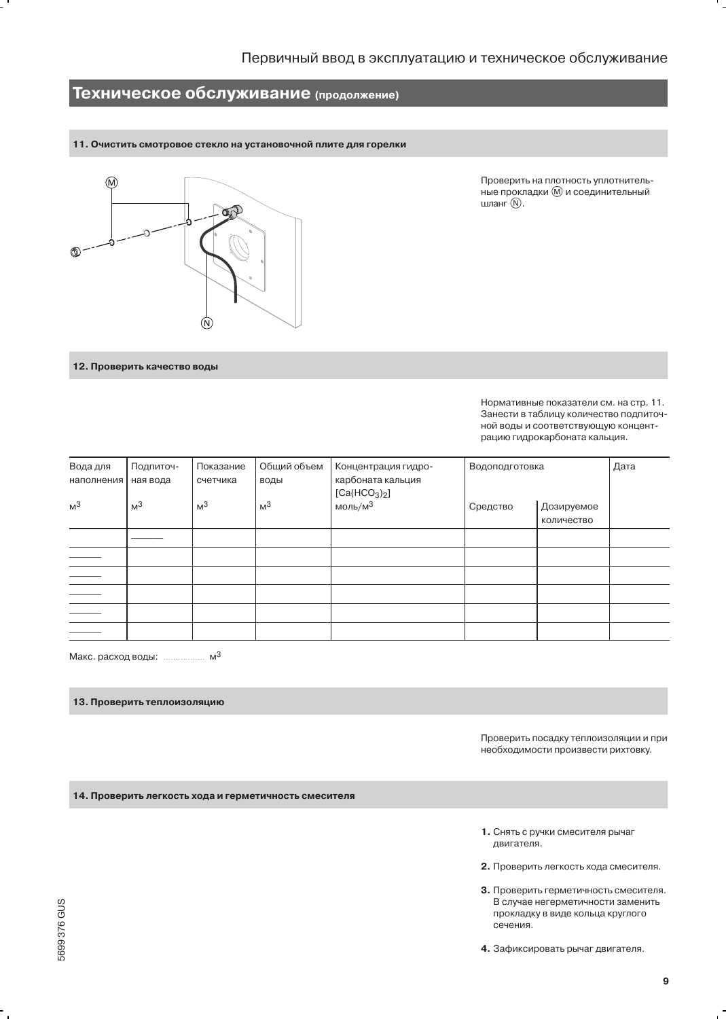### 11. Очистить смотровое стекло на установочной плите для горелки



Проверить на плотность уплотнительные прокладки (M) и соединительный шланг $(\mathbb{N})$ .

12. Проверить качество воды

Нормативные показатели см. на стр. 11. Занести в таблицу количество подпиточной воды и соответствующую концентрацию гидрокарбоната кальция.

| Вода для<br>наполнения   | Подпиточ-<br>ная вода | Показание<br>счетчика | Общий объем<br>воды | Концентрация гидро-<br>карбоната кальция<br>[Ca(HCO <sub>3</sub> ) <sub>2</sub> ] | Водоподготовка |                          | Дата |
|--------------------------|-----------------------|-----------------------|---------------------|-----------------------------------------------------------------------------------|----------------|--------------------------|------|
| M <sup>3</sup>           | M <sup>3</sup>        | M <sup>3</sup>        | M <sup>3</sup>      | моль/м $3$                                                                        | Средство       | Дозируемое<br>количество |      |
|                          |                       |                       |                     |                                                                                   |                |                          |      |
|                          |                       |                       |                     |                                                                                   |                |                          |      |
|                          |                       |                       |                     |                                                                                   |                |                          |      |
|                          |                       |                       |                     |                                                                                   |                |                          |      |
| $\overline{\phantom{0}}$ |                       |                       |                     |                                                                                   |                |                          |      |
|                          |                       |                       |                     |                                                                                   |                |                          |      |

Макс. расход воды: ................... м<sup>3</sup>

### 13. Проверить теплоизоляцию

Проверить посадку теплоизоляции и при необходимости произвести рихтовку.

14. Проверить легкость хода и герметичность смесителя

- 1. Снять с ручки смесителя рычаг двигателя.
- 2. Проверить легкость хода смесителя.
- 3. Проверить герметичность смесителя. В случае негерметичности заменить прокладку в виде кольца круглого сечения.
- 4. Зафиксировать рычаг двигателя.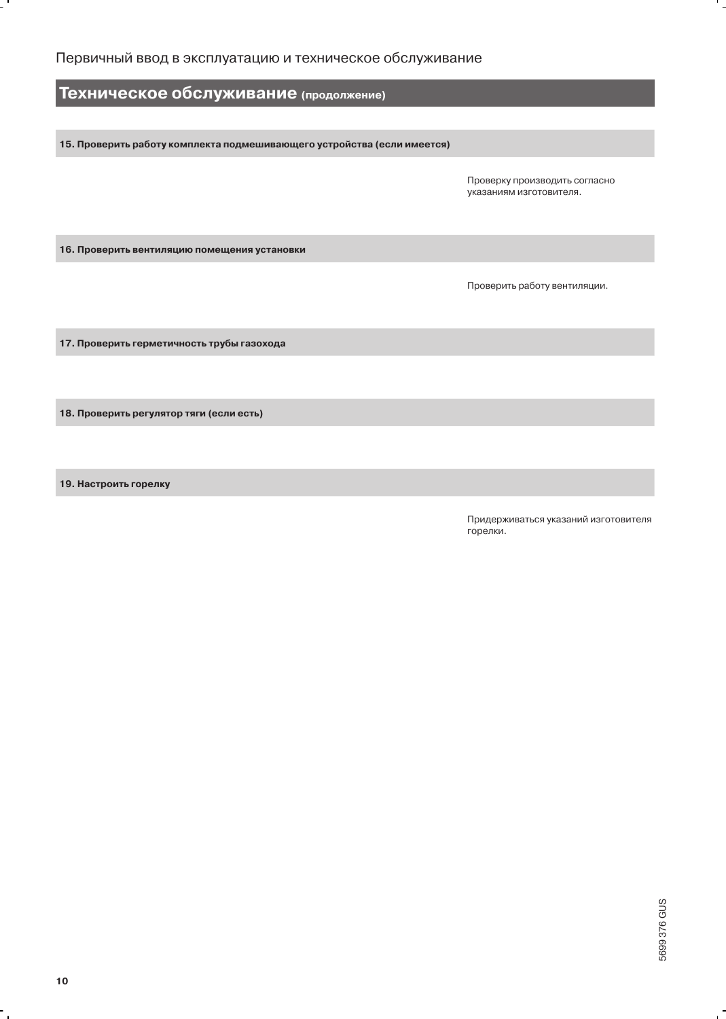15. Проверить работу комплекта подмешивающего устройства (если имеется)

Проверку производить согласно указаниям изготовителя.

16. Проверить вентиляцию помещения установки

Проверить работу вентиляции.

17. Проверить герметичность трубы газохода

18. Проверить регулятор тяги (если есть)

19. Настроить горелку

Придерживаться указаний изготовителя горелки.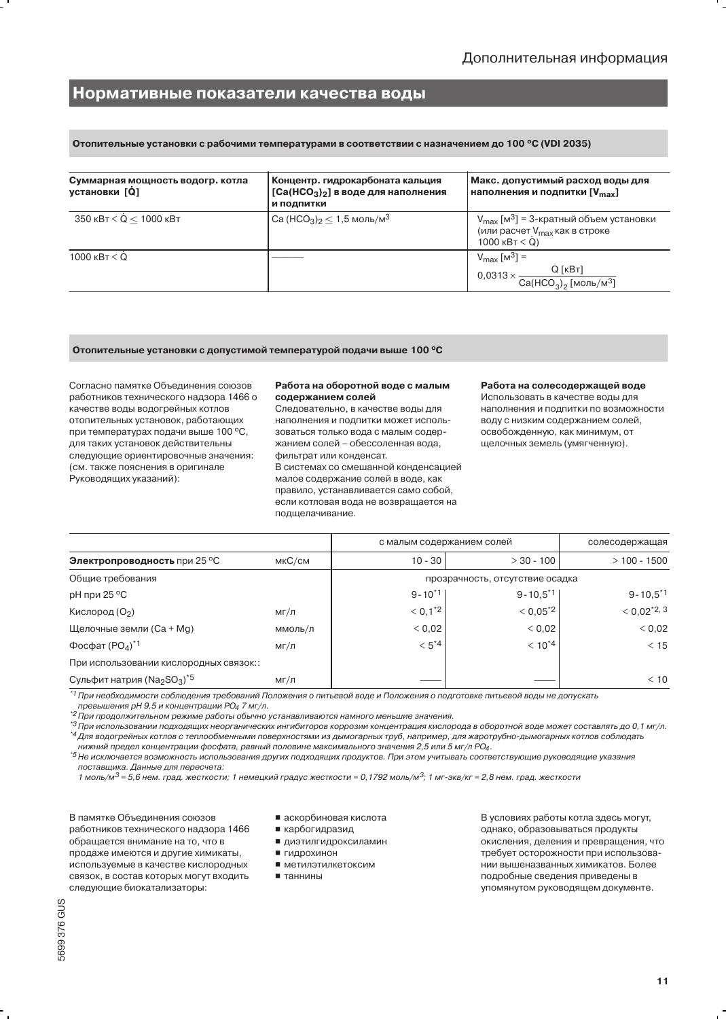### Нормативные показатели качества воды

Отопительные установки с рабочими температурами в соответствии с назначением до 100 °С (VDI 2035)

| Суммарная мощность водогр. котла<br>установки [Q] | Концентр. гидрокарбоната кальция<br>$[Ca(HCO3)2]$ в воде для наполнения<br>и подпитки | Макс. допустимый расход воды для<br>наполнения и подпитки [V <sub>max</sub> ]                                                              |  |  |
|---------------------------------------------------|---------------------------------------------------------------------------------------|--------------------------------------------------------------------------------------------------------------------------------------------|--|--|
| 350 кВт < Q < 1000 кВт                            | $Ca (HCO3)2 \le 1.5$ моль/м $3$                                                       | $V_{\text{max}}$ [м <sup>3</sup> ] = 3-кратный объем установки<br>(или расчет V <sub>max</sub> как в строке<br>1000 $\kappa$ B $\tau$ < Q) |  |  |
| $1000$ $\text{KBT}$ $\leq$ Q                      |                                                                                       | $V_{\text{max}}$ [M <sup>3</sup> ] =<br>$Q$ [ $KBT$ ]<br>$0.0313 \times$<br>$Ca(HCO3)2$ [моль/м <sup>3</sup> ]                             |  |  |

Отопительные установки с допустимой температурой подачи выше 100 °С

Согласно памятке Объединения союзов работников технического надзора 1466 о качестве воды водогрейных котлов отопительных установок, работающих при температурах подачи выше 100 °С, для таких установок действительны следующие ориентировочные значения: (см. также пояснения в оригинале Руководящих указаний):

#### Работа на оборотной воде с малым содержанием солей

Следовательно, в качестве воды для наполнения и подпитки может использоваться только вода с малым содержанием солей - обессоленная вода, фильтрат или конденсат. В системах со смешанной конденсацией малое содержание солей в воде, как правило, устанавливается само собой. если котловая вода не возвращается на подшелачивание.

#### Работа на солесодержащей воде

Использовать в качестве воды для наполнения и подпитки по возможности воду с низким содержанием солей, освобожденную, как минимум, от щелочных земель (умягченную).

|                                                           |         | с малым содержанием солей       |                        | солесодержащая     |  |
|-----------------------------------------------------------|---------|---------------------------------|------------------------|--------------------|--|
| <b>Электропроводность при 25 °С</b>                       | мкС/см  | $10 - 30$                       | $> 30 - 100$           | $>100 - 1500$      |  |
| Общие требования                                          |         | прозрачность, отсутствие осадка |                        |                    |  |
| рН при 25 °С                                              |         | $9 - 10^{*1}$                   | $9 - 10.5^{\text{*}}1$ | $9 - 10.5^{\ast}1$ |  |
| Кислород (О2)                                             | мг/л    | $< 0, 1^*2$                     | $< 0.05^{2}$           | $< 0.02^{\ast}2.3$ |  |
| Щелочные земли (Ca + Mg)                                  | ммоль/л | 0,02                            | < 0.02                 | < 0.02             |  |
| Фосфат $(PO4)*1$                                          | мг/л    | $< 5*4$                         | $< 10^{4}$             | < 15               |  |
| При использовании кислородных связок::                    |         |                                 |                        |                    |  |
| Сульфит натрия ( $\text{Na}_2\text{SO}_3$ ) <sup>*5</sup> | мг/л    |                                 |                        | < 10               |  |

\*<sup>1</sup> При необходимости соблюдения требований Положения о питьевой воде и Положения о подготовке питьевой воды не допускать

превышения рН 9,5 и концентрации РО4 7 мг/л.

" Проседество ресурса совера предлагать с при станавливаются намного меньшие значения.

\*4 Для водогрейных котлов с теплообменными поверхностями из дымогарных труб, например, для жаротрубно-дымогарных котлов соблюдать нижний предел концентрации фосфата, равный половине максимального значения 2,5 или 5 мг/л PO<sub>4</sub>.

\*5 Не исключается возможность использования других подходящих продуктов. При этом учитывать соответствующие руководящие указания поставщика. Данные для пересчета:

1 моль/м<sup>3</sup> = 5,6 нем. град. жесткости; 1 немецкий градус жесткости = 0,1792 моль/м<sup>3</sup>; 1 мг-экв/кг = 2,8 нем. град. жесткости

В памятке Объединения союзов работников технического надзора 1466 обращается внимание на то, что в продаже имеются и другие химикаты, используемые в качестве кислородных связок, в состав которых могут входить следующие биокатализаторы:

- аскорбиновая кислота
- карбогидразид ■ диэтилгидроксиламин

■ гидрохинон

• таннины

■ метилэтилкетоксим

В условиях работы котла здесь могут, однако, образовываться продукты окисления, деления и превращения, что требует осторожности при использовании вышеназванных химикатов. Более подробные сведения приведены в упомянутом руководящем документе.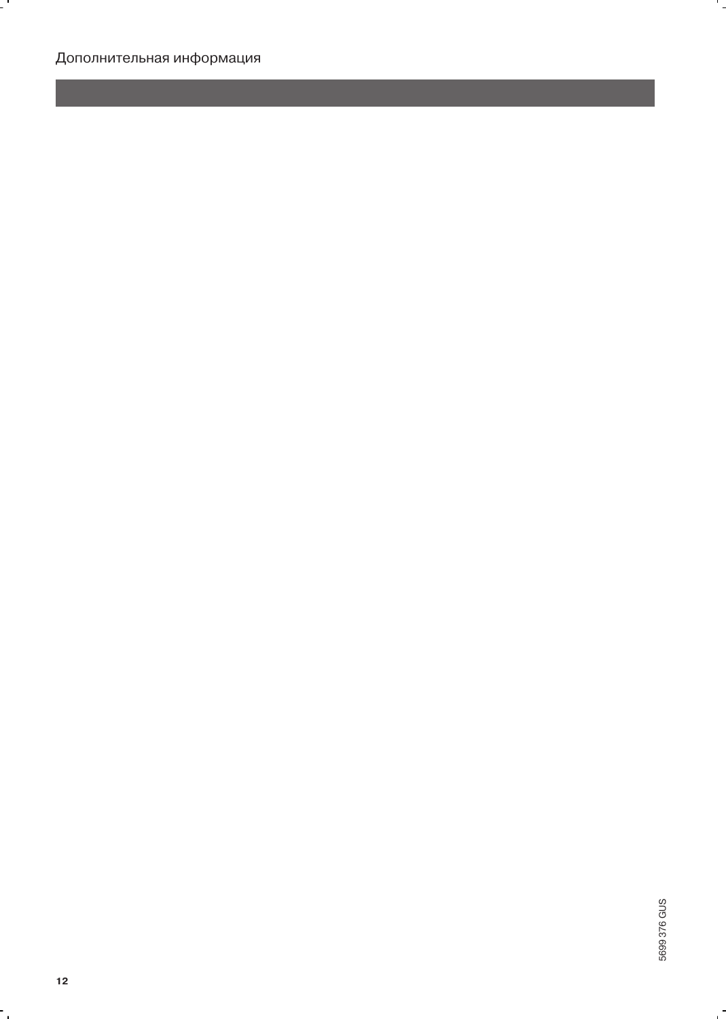$\cdot$  .

۰.

 $\ddot{\phantom{0}}$